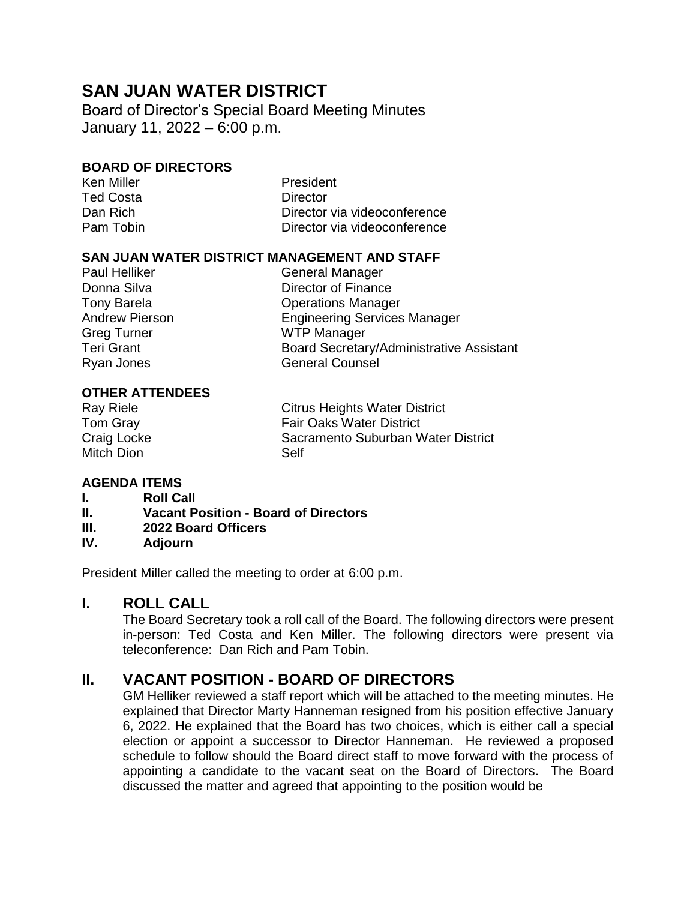# **SAN JUAN WATER DISTRICT**

Board of Director's Special Board Meeting Minutes January 11, 2022 – 6:00 p.m.

#### **BOARD OF DIRECTORS**

Ted Costa **Director** 

Ken Miller **New York Contract Contract President** Dan Rich Director via videoconference Pam Tobin Director via videoconference

#### **SAN JUAN WATER DISTRICT MANAGEMENT AND STAFF**

Paul Helliker General Manager Donna Silva **Director of Finance** Tony Barela **Contract Contract Contract Contract Contract Contract Contract Contract Contract Contract Contract Contract Contract Contract Contract Contract Contract Contract Contract Contract Contract Contract Contract Co** Andrew Pierson Engineering Services Manager Greg Turner WTP Manager Teri Grant **Board Secretary/Administrative Assistant** Ryan Jones General Counsel

#### **OTHER ATTENDEES**

Mitch Dion Self

Ray Riele **Citrus Heights Water District** Tom Gray **Fair Oaks Water District** Craig Locke Sacramento Suburban Water District

# **AGENDA ITEMS**

- **I. Roll Call**
- **II. Vacant Position - Board of Directors**
- **III. 2022 Board Officers**
- **IV. Adjourn**

President Miller called the meeting to order at 6:00 p.m.

# **I. ROLL CALL**

The Board Secretary took a roll call of the Board. The following directors were present in-person: Ted Costa and Ken Miller. The following directors were present via teleconference: Dan Rich and Pam Tobin.

# **II. VACANT POSITION - BOARD OF DIRECTORS**

GM Helliker reviewed a staff report which will be attached to the meeting minutes. He explained that Director Marty Hanneman resigned from his position effective January 6, 2022. He explained that the Board has two choices, which is either call a special election or appoint a successor to Director Hanneman. He reviewed a proposed schedule to follow should the Board direct staff to move forward with the process of appointing a candidate to the vacant seat on the Board of Directors. The Board discussed the matter and agreed that appointing to the position would be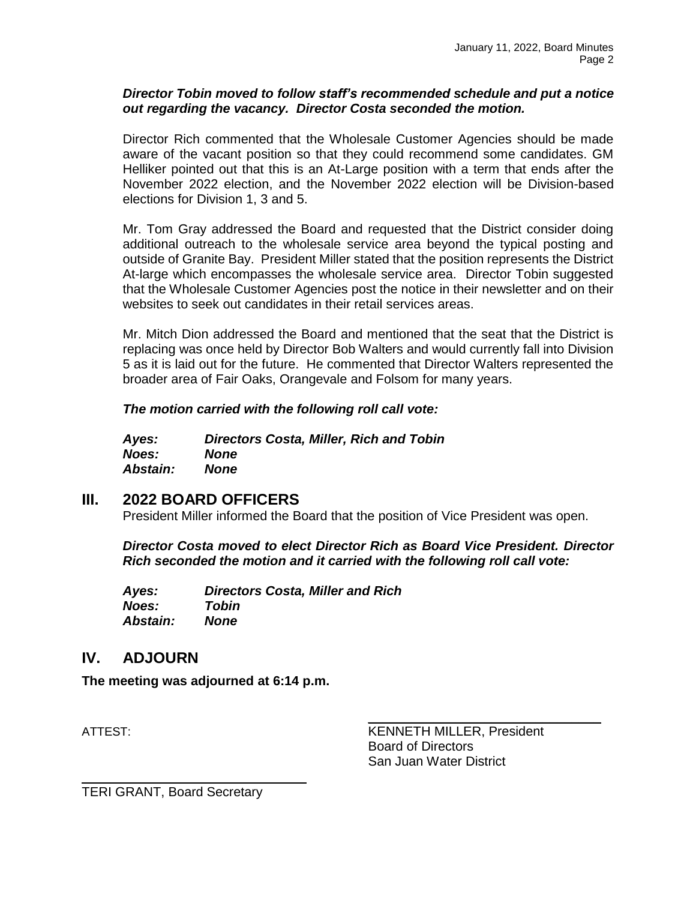#### *Director Tobin moved to follow staff's recommended schedule and put a notice out regarding the vacancy. Director Costa seconded the motion.*

Director Rich commented that the Wholesale Customer Agencies should be made aware of the vacant position so that they could recommend some candidates. GM Helliker pointed out that this is an At-Large position with a term that ends after the November 2022 election, and the November 2022 election will be Division-based elections for Division 1, 3 and 5.

Mr. Tom Gray addressed the Board and requested that the District consider doing additional outreach to the wholesale service area beyond the typical posting and outside of Granite Bay. President Miller stated that the position represents the District At-large which encompasses the wholesale service area. Director Tobin suggested that the Wholesale Customer Agencies post the notice in their newsletter and on their websites to seek out candidates in their retail services areas.

Mr. Mitch Dion addressed the Board and mentioned that the seat that the District is replacing was once held by Director Bob Walters and would currently fall into Division 5 as it is laid out for the future. He commented that Director Walters represented the broader area of Fair Oaks, Orangevale and Folsom for many years.

*The motion carried with the following roll call vote:*

| Ayes:           | <b>Directors Costa, Miller, Rich and Tobin</b> |
|-----------------|------------------------------------------------|
| <b>Noes:</b>    | <b>None</b>                                    |
| <b>Abstain:</b> | None                                           |

# **III. 2022 BOARD OFFICERS**

President Miller informed the Board that the position of Vice President was open.

*Director Costa moved to elect Director Rich as Board Vice President. Director Rich seconded the motion and it carried with the following roll call vote:*

| Ayes:           | <b>Directors Costa, Miller and Rich</b> |
|-----------------|-----------------------------------------|
| Noes:           | Tobin                                   |
| <b>Abstain:</b> | <b>None</b>                             |

# **IV. ADJOURN**

**The meeting was adjourned at 6:14 p.m.**

ATTEST: KENNETH MILLER, President Board of Directors San Juan Water District

\_\_\_\_\_\_\_\_\_\_\_\_\_\_\_\_\_\_\_\_\_\_\_\_\_\_\_\_\_\_\_\_

TERI GRANT, Board Secretary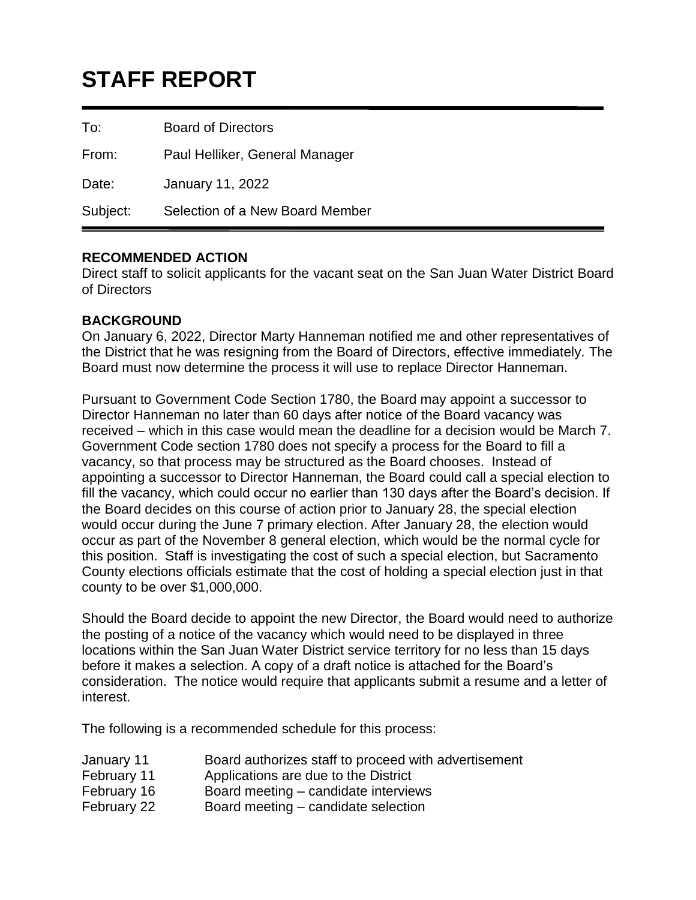# **STAFF REPORT**

To: Board of Directors

From: Paul Helliker, General Manager

Date: January 11, 2022

Subject: Selection of a New Board Member

# **RECOMMENDED ACTION**

Direct staff to solicit applicants for the vacant seat on the San Juan Water District Board of Directors

#### **BACKGROUND**

On January 6, 2022, Director Marty Hanneman notified me and other representatives of the District that he was resigning from the Board of Directors, effective immediately. The Board must now determine the process it will use to replace Director Hanneman.

Pursuant to Government Code Section 1780, the Board may appoint a successor to Director Hanneman no later than 60 days after notice of the Board vacancy was received – which in this case would mean the deadline for a decision would be March 7. Government Code section 1780 does not specify a process for the Board to fill a vacancy, so that process may be structured as the Board chooses. Instead of appointing a successor to Director Hanneman, the Board could call a special election to fill the vacancy, which could occur no earlier than 130 days after the Board's decision. If the Board decides on this course of action prior to January 28, the special election would occur during the June 7 primary election. After January 28, the election would occur as part of the November 8 general election, which would be the normal cycle for this position. Staff is investigating the cost of such a special election, but Sacramento County elections officials estimate that the cost of holding a special election just in that county to be over \$1,000,000.

Should the Board decide to appoint the new Director, the Board would need to authorize the posting of a notice of the vacancy which would need to be displayed in three locations within the San Juan Water District service territory for no less than 15 days before it makes a selection. A copy of a draft notice is attached for the Board's consideration. The notice would require that applicants submit a resume and a letter of interest.

The following is a recommended schedule for this process:

| January 11 | Board authorizes staff to proceed with advertisement |  |
|------------|------------------------------------------------------|--|
|            | .                                                    |  |

- February 11 Applications are due to the District
- February 16 Board meeting candidate interviews
- February 22 Board meeting candidate selection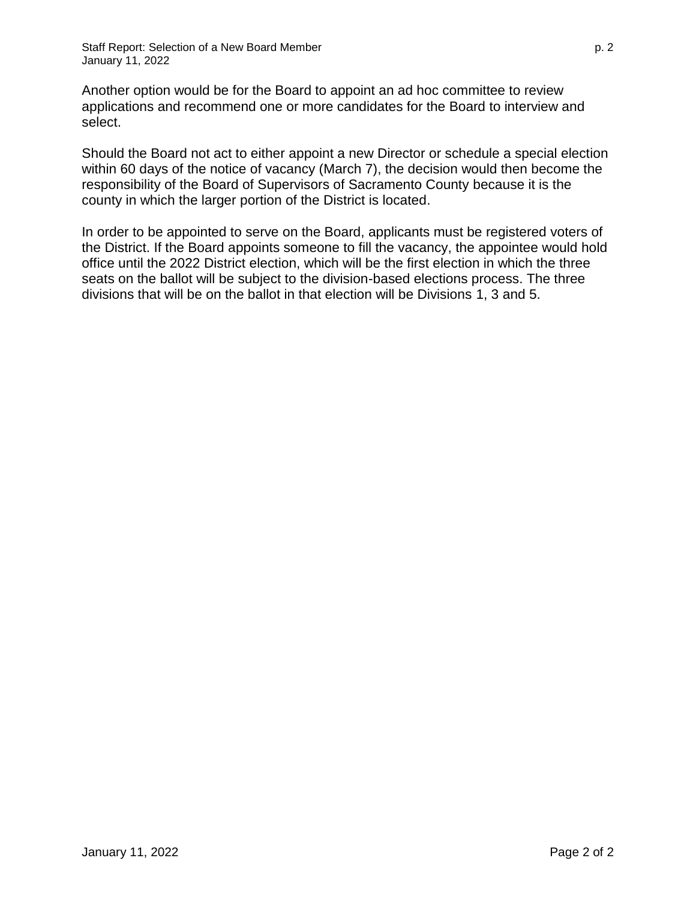Another option would be for the Board to appoint an ad hoc committee to review applications and recommend one or more candidates for the Board to interview and select.

Should the Board not act to either appoint a new Director or schedule a special election within 60 days of the notice of vacancy (March 7), the decision would then become the responsibility of the Board of Supervisors of Sacramento County because it is the county in which the larger portion of the District is located.

In order to be appointed to serve on the Board, applicants must be registered voters of the District. If the Board appoints someone to fill the vacancy, the appointee would hold office until the 2022 District election, which will be the first election in which the three seats on the ballot will be subject to the division-based elections process. The three divisions that will be on the ballot in that election will be Divisions 1, 3 and 5.